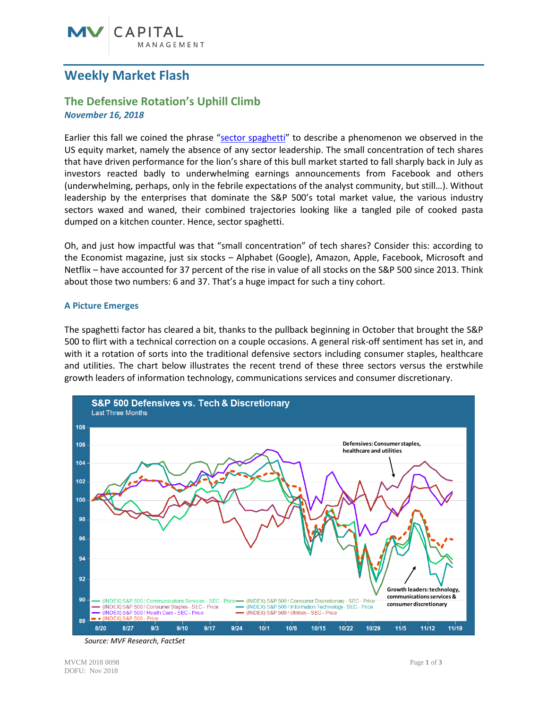# **Weekly Market Flash**

## **The Defensive Rotation's Uphill Climb** *November 16, 2018*

Earlier this fall we coined the phrase ["sector spaghetti"](http://mvfinancial.com/research-insights/weekly-market-flash/mv-weekly-market-flash-sector-spaghetti) to describe a phenomenon we observed in the US equity market, namely the absence of any sector leadership. The small concentration of tech shares that have driven performance for the lion's share of this bull market started to fall sharply back in July as investors reacted badly to underwhelming earnings announcements from Facebook and others (underwhelming, perhaps, only in the febrile expectations of the analyst community, but still…). Without leadership by the enterprises that dominate the S&P 500's total market value, the various industry sectors waxed and waned, their combined trajectories looking like a tangled pile of cooked pasta dumped on a kitchen counter. Hence, sector spaghetti.

Oh, and just how impactful was that "small concentration" of tech shares? Consider this: according to the Economist magazine, just six stocks – Alphabet (Google), Amazon, Apple, Facebook, Microsoft and Netflix – have accounted for 37 percent of the rise in value of all stocks on the S&P 500 since 2013. Think about those two numbers: 6 and 37. That's a huge impact for such a tiny cohort.

### **A Picture Emerges**

The spaghetti factor has cleared a bit, thanks to the pullback beginning in October that brought the S&P 500 to flirt with a technical correction on a couple occasions. A general risk-off sentiment has set in, and with it a rotation of sorts into the traditional defensive sectors including consumer staples, healthcare and utilities. The chart below illustrates the recent trend of these three sectors versus the erstwhile growth leaders of information technology, communications services and consumer discretionary.



*Source: MVF Research, FactSet*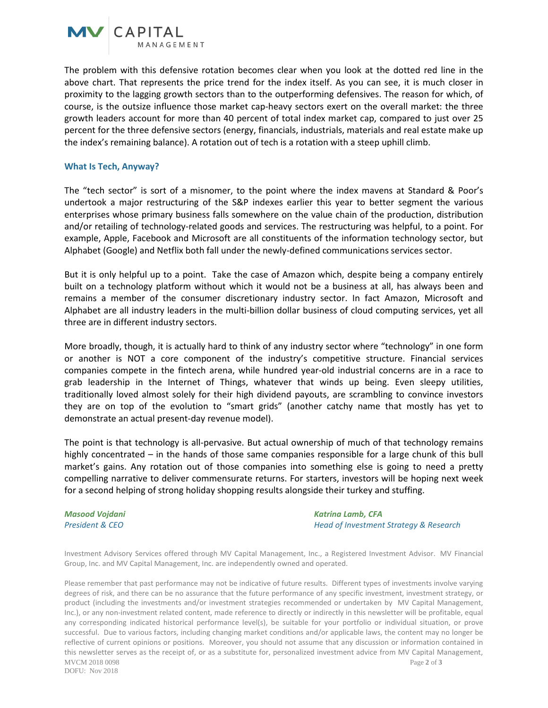

The problem with this defensive rotation becomes clear when you look at the dotted red line in the above chart. That represents the price trend for the index itself. As you can see, it is much closer in proximity to the lagging growth sectors than to the outperforming defensives. The reason for which, of course, is the outsize influence those market cap-heavy sectors exert on the overall market: the three growth leaders account for more than 40 percent of total index market cap, compared to just over 25 percent for the three defensive sectors (energy, financials, industrials, materials and real estate make up the index's remaining balance). A rotation out of tech is a rotation with a steep uphill climb.

#### **What Is Tech, Anyway?**

The "tech sector" is sort of a misnomer, to the point where the index mavens at Standard & Poor's undertook a major restructuring of the S&P indexes earlier this year to better segment the various enterprises whose primary business falls somewhere on the value chain of the production, distribution and/or retailing of technology-related goods and services. The restructuring was helpful, to a point. For example, Apple, Facebook and Microsoft are all constituents of the information technology sector, but Alphabet (Google) and Netflix both fall under the newly-defined communications services sector.

But it is only helpful up to a point. Take the case of Amazon which, despite being a company entirely built on a technology platform without which it would not be a business at all, has always been and remains a member of the consumer discretionary industry sector. In fact Amazon, Microsoft and Alphabet are all industry leaders in the multi-billion dollar business of cloud computing services, yet all three are in different industry sectors.

More broadly, though, it is actually hard to think of any industry sector where "technology" in one form or another is NOT a core component of the industry's competitive structure. Financial services companies compete in the fintech arena, while hundred year-old industrial concerns are in a race to grab leadership in the Internet of Things, whatever that winds up being. Even sleepy utilities, traditionally loved almost solely for their high dividend payouts, are scrambling to convince investors they are on top of the evolution to "smart grids" (another catchy name that mostly has yet to demonstrate an actual present-day revenue model).

The point is that technology is all-pervasive. But actual ownership of much of that technology remains highly concentrated – in the hands of those same companies responsible for a large chunk of this bull market's gains. Any rotation out of those companies into something else is going to need a pretty compelling narrative to deliver commensurate returns. For starters, investors will be hoping next week for a second helping of strong holiday shopping results alongside their turkey and stuffing.

*Masood Vojdani Katrina Lamb, CFA President & CEO Head of Investment Strategy & Research*

Investment Advisory Services offered through MV Capital Management, Inc., a Registered Investment Advisor. MV Financial Group, Inc. and MV Capital Management, Inc. are independently owned and operated.

MVCM 2018 0098 Page **2** of **3** DOFU: Nov 2018 Please remember that past performance may not be indicative of future results. Different types of investments involve varying degrees of risk, and there can be no assurance that the future performance of any specific investment, investment strategy, or product (including the investments and/or investment strategies recommended or undertaken by MV Capital Management, Inc.), or any non-investment related content, made reference to directly or indirectly in this newsletter will be profitable, equal any corresponding indicated historical performance level(s), be suitable for your portfolio or individual situation, or prove successful. Due to various factors, including changing market conditions and/or applicable laws, the content may no longer be reflective of current opinions or positions. Moreover, you should not assume that any discussion or information contained in this newsletter serves as the receipt of, or as a substitute for, personalized investment advice from MV Capital Management,